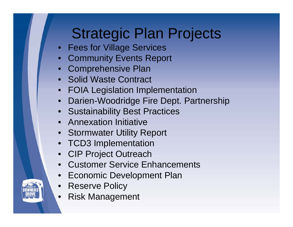# Strategic Plan Projects

- Fees for Village Services
- Community Events Report
- Comprehensive Plan
- Solid Waste Contract
- FOIA Legislation Implementation
- Darien-Woodridge Fire Dept. Partnership
- Sustainability Best Practices
- Annexation Initiative
- Stormwater Utility Report
- TCD3 Implementation
- CIP Project Outreach
- Customer Service Enhancements
- •Economic Development Plan
- Reserve Policy
- Risk Management

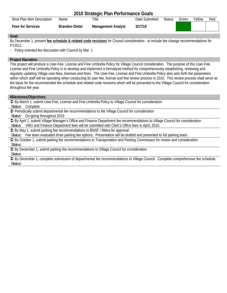|                             |                       | 2010 Strategic Plan Performance Goals |                |         |       |        |     |
|-----------------------------|-----------------------|---------------------------------------|----------------|---------|-------|--------|-----|
| Strat Plan Item Description | Name                  | Title                                 | Date Submitted | Status: | Green | Yellow | Red |
| <b>Fees for Services</b>    | <b>Brandon Dieter</b> | <b>Management Analyst</b>             | 3/17/10        |         |       |        |     |

By December 1, present **fee schedule & related code revisions** for Council consideration - to include fee change recommendations for FY2011

- Policy-oriented fee discussion with Council by Mar. 1

# **Project Narrative:**

This project will produce a User-Fee, License and Fine Umbrella Policy for Village Council consideration. The purpose of this User-Fee, License and Fine Umbrella Policy is to develop and implement a formalized method for comprehensively establishing, reviewing and regularly updating Village user-fees, licenses and fines. The User-Fee, License and Fine Umbrella Policy also sets forth the parameters within which staff will be operating when conducting its user-fee, license and fine review process in 2010. This review process shall serve as the basis for the recommended fee schedule and related code revisions which will be presented to the Village Council for consideration throughout the year.

# **Milestones/Objectives:**

 $\supseteq$  By March 1, submit User-Fee, License and Fine Umbrella Policy to Village Council for consideration *Status:* Complete

 $\supset$  Periodically submit departmental fee recommendations to the Village Council for consideration

*Status:* On-going throughout 2010

◆ By April 1, submit Village Manager's Office and Finance Department fee recommendations to Village Council for consideration *Status:* VMO and Finance Department fees will be submitted with Clerk's Office fees in April, 2010.

Â By May 1, submit parking fee recommendations to BNSF / Metra for approval

*Status:* Fee team evaluated three parking fee options. Presentation will be drafted and presented to full parking team.

Â By October 1, submit parking fee recommendations to Transportation and Parking Commission for review and consideration *Status:* 

● By December 1, submit parking fee recommendations to Village Council for consideration *Status:* 

Â By December 1, complete submission of departmental fee recommendations to Village Council. Complete comprehensive fee schedule. *Status:*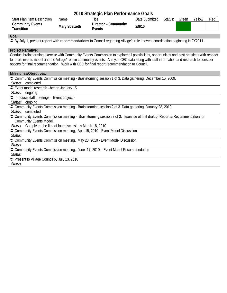# **2010 Strategic Plan Performance Goals**

| <b>Strat Plan Item Description</b>    | Name           | Title                          | Date Submitted | Status: | Green | Yellow | Red |
|---------------------------------------|----------------|--------------------------------|----------------|---------|-------|--------|-----|
| <b>Community Events</b><br>Transition | Mary Scalzetti | Director - Community<br>Events | 2/8/10         |         |       |        |     |

#### **Goal:**

Â By July 1, present **report with recommendations** to Council regarding Village's role in event coordination beginning in FY2011.

#### **Project Narrative:**

Conduct brainstorming exercise with Community Events Commission to explore all possibilities, opportunities and best practices with respect to future events model and the Village' role in community events. Analyze CEC data along with staff information and research to consider options for final recommendation. Work with CEC for final report recommendation to Council.

#### **Milestones/Objectives:**

 $\supset$  Community Events Commission meeting - Brainstorming session 1 of 3. Data gathering. December 15, 2009. *Status:* completed **■** Event model research –began January 15 *Status:* ongoing  $\supset$  In-house staff meetings – Event project -*Status:* ongoing Â Community Events Commission meeting - Brainstorming session 2 of 3. Data gathering. January 28, 2010. *Status:* completed Â Community Events Commission meeting - Brainstorming session 3 of 3. Issuance of first draft of Report & Recommendation for Community Events Model. *Status:* Completed the first of four discussions March 18, 2010 ● Community Events Commission meeting, April 15, 2010 - Event Model Discussion *Status:*  ● Community Events Commission meeting, May 20, 2010 - Event Model Discussion *Status:*  ● Community Events Commission meeting, June 17, 2010 – Event Model Recommendation *Status:*  **◯** Present to Village Council by July 13, 2010 *Status:*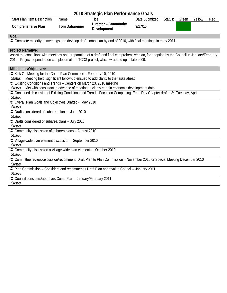|                                                                                                                                                                                                                                          |                       | 2010 Strategic Plan Performance Goals |                |         |       |        |     |
|------------------------------------------------------------------------------------------------------------------------------------------------------------------------------------------------------------------------------------------|-----------------------|---------------------------------------|----------------|---------|-------|--------|-----|
| Strat Plan Item Description                                                                                                                                                                                                              | Name                  | Title                                 | Date Submitted | Status: | Green | Yellow | Red |
| <b>Comprehensive Plan</b>                                                                                                                                                                                                                | <b>Tom Dabareiner</b> | Director - Community<br>Development   | 3/17/10        |         |       |        |     |
| Goal:                                                                                                                                                                                                                                    |                       |                                       |                |         |       |        |     |
| ○ Complete majority of meetings and develop draft comp plan by end of 2010, with final meetings in early 2011.                                                                                                                           |                       |                                       |                |         |       |        |     |
| <b>Project Narrative:</b>                                                                                                                                                                                                                |                       |                                       |                |         |       |        |     |
| Assist the consultant with meetings and preparation of a draft and final comprehensive plan, for adoption by the Council in January/February<br>2010. Project depended on completion of the TCD3 project, which wrapped up in late 2009. |                       |                                       |                |         |       |        |     |
| Milestones/Objectives:                                                                                                                                                                                                                   |                       |                                       |                |         |       |        |     |
| S Kick Off Meeting for the Comp Plan Committee - February 10, 2010                                                                                                                                                                       |                       |                                       |                |         |       |        |     |
| Status: Meeting held, significant follow-up ensued to add clarity to the tasks ahead                                                                                                                                                     |                       |                                       |                |         |       |        |     |
| → Existing Conditions and Trends – Centers on March 23, 2010 meeting                                                                                                                                                                     |                       |                                       |                |         |       |        |     |
| Status: Met with consultant in advance of meeting to clarify certain economic development data<br>→ Continued discussion of Existing Conditions and Trends, Focus on Completing Econ Dev Chapter draft – 3rd Tuesday, April              |                       |                                       |                |         |       |        |     |
|                                                                                                                                                                                                                                          |                       |                                       |                |         |       |        |     |
| Status:                                                                                                                                                                                                                                  |                       |                                       |                |         |       |        |     |
| Overall Plan Goals and Objectives Drafted - May 2010<br>Status:                                                                                                                                                                          |                       |                                       |                |         |       |        |     |
| → Drafts considered of subarea plans - June 2010                                                                                                                                                                                         |                       |                                       |                |         |       |        |     |
| Status:                                                                                                                                                                                                                                  |                       |                                       |                |         |       |        |     |
| The Drafts considered of subarea plans - July 2010                                                                                                                                                                                       |                       |                                       |                |         |       |        |     |
| Status:                                                                                                                                                                                                                                  |                       |                                       |                |         |       |        |     |
| → Community discussion of subarea plans - August 2010                                                                                                                                                                                    |                       |                                       |                |         |       |        |     |
| Status:                                                                                                                                                                                                                                  |                       |                                       |                |         |       |        |     |
| → Village-wide plan element discussion - September 2010                                                                                                                                                                                  |                       |                                       |                |         |       |        |     |
| Status:                                                                                                                                                                                                                                  |                       |                                       |                |         |       |        |     |
| Community discussion o Village-wide plan elements - October 2010                                                                                                                                                                         |                       |                                       |                |         |       |        |     |
| Status:                                                                                                                                                                                                                                  |                       |                                       |                |         |       |        |     |
| ● Committee review/discussion/recommend Draft Plan to Plan Commission - November 2010 or Special Meeting December 2010<br>Status:                                                                                                        |                       |                                       |                |         |       |        |     |
| → Plan Commission – Considers and recommends Draft Plan approval to Council – January 2011                                                                                                                                               |                       |                                       |                |         |       |        |     |
| Status:                                                                                                                                                                                                                                  |                       |                                       |                |         |       |        |     |
| Council considers/approves Comp Plan - January/February 2011                                                                                                                                                                             |                       |                                       |                |         |       |        |     |
| Status:                                                                                                                                                                                                                                  |                       |                                       |                |         |       |        |     |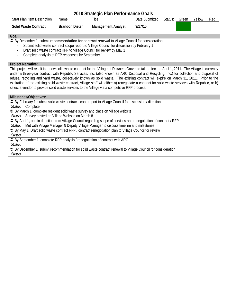|                                    |                       | 2010 Strategic Plan Performance Goals |                |         |       |        |     |
|------------------------------------|-----------------------|---------------------------------------|----------------|---------|-------|--------|-----|
| <b>Strat Plan Item Description</b> | Name.                 | Title                                 | Date Submitted | Status: | Green | Yellow | Red |
| <b>Solid Waste Contract</b>        | <b>Brandon Dieter</b> | <b>Management Analyst</b>             | 3/17/10        |         |       |        |     |

 $\supseteq$  By December 1, submit *recommendation for contract renewal* to Village Council for consideration.

- Submit solid waste contract scope report to Village Council for discussion by February 1
- Draft solid waste contract RFP to Village Council for review by May 1
- Complete analysis of RFP responses by September 1

# **Project Narrative:**

This project will result in a new solid waste contract for the Village of Downers Grove, to take effect on April 1, 2011. The Village is currently under a three-year contract with Republic Services, Inc. (also known as ARC Disposal and Recycling, Inc.) for collection and disposal of refuse, recycling and yard waste, collectively known as solid waste. The existing contract will expire on March 31, 2011. Prior to the expiration of the existing solid waste contract, Village staff will either a) renegotiate a contract for solid waste services with Republic, or b) select a vendor to provide solid waste services to the Village via a competitive RFP process.

# **Milestones/Objectives:**

 $\supseteq$  By February 1, submit solid waste contract scope report to Village Council for discussion / direction *Status:* Complete

 $\supset$  By March 1, complete resident solid waste survey and place on Village website

*Status:* Survey posted on Village Website on March 8

● By April 1, obtain direction from Village Council regarding scope of services and renegotiation of contract / RFP *Status:* Met with Village Manager & Deputy Village Manager to discuss timeline and milestones

● By May 1, Draft solid waste contract RFP / contract renegotiation plan to Village Council for review *Status:* 

● By September 1, complete RFP analysis / renegotiation of contract with ARC

*Status:* 

 $\supset$  By December 1, submit recommendation for solid waste contract renewal to Village Council for consideration *Status:*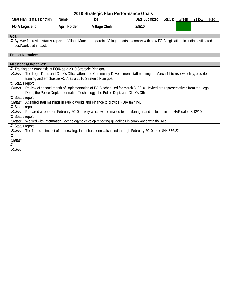|                                                                                                                                                                  |                                                            | 2010 Strategic Plan Performance Goals                                                 |                                                                                                                          |         |       |        |     |
|------------------------------------------------------------------------------------------------------------------------------------------------------------------|------------------------------------------------------------|---------------------------------------------------------------------------------------|--------------------------------------------------------------------------------------------------------------------------|---------|-------|--------|-----|
| Strat Plan Item Description                                                                                                                                      | Name                                                       | Title                                                                                 | Date Submitted                                                                                                           | Status: | Green | Yellow | Red |
| <b>FOIA Legislation</b>                                                                                                                                          | April Holden                                               | <b>Village Clerk</b>                                                                  | 2/8/10                                                                                                                   |         |       |        |     |
| Goal:                                                                                                                                                            |                                                            |                                                                                       |                                                                                                                          |         |       |        |     |
| → By May 1, provide status report to Village Manager regarding Village efforts to comply with new FOIA legislation, including estimated<br>cost/workload impact. |                                                            |                                                                                       |                                                                                                                          |         |       |        |     |
| <b>Project Narrative:</b>                                                                                                                                        |                                                            |                                                                                       |                                                                                                                          |         |       |        |     |
| Milestones/Objectives:                                                                                                                                           |                                                            |                                                                                       |                                                                                                                          |         |       |        |     |
| Training and emphasis of FOIA as a 2010 Strategic Plan goal                                                                                                      |                                                            |                                                                                       |                                                                                                                          |         |       |        |     |
| Status: The Legal Dept. and Clerk's Office attend the Community Development staff meeting on March 11 to review policy, provide                                  |                                                            |                                                                                       |                                                                                                                          |         |       |        |     |
|                                                                                                                                                                  | training and emphasize FOIA as a 2010 Strategic Plan goal. |                                                                                       |                                                                                                                          |         |       |        |     |
| $\supset$ Status report                                                                                                                                          |                                                            |                                                                                       |                                                                                                                          |         |       |        |     |
| Status:                                                                                                                                                          |                                                            |                                                                                       | Review of second month of implementation of FOIA scheduled for March 8, 2010. Invited are representatives from the Legal |         |       |        |     |
|                                                                                                                                                                  |                                                            | Dept., the Police Dept., Information Technology, the Police Dept. and Clerk's Office. |                                                                                                                          |         |       |        |     |
| $\supset$ Status report                                                                                                                                          |                                                            |                                                                                       |                                                                                                                          |         |       |        |     |
| Status: Attended staff meetings in Public Works and Finance to provide FOIA training.                                                                            |                                                            |                                                                                       |                                                                                                                          |         |       |        |     |
| $\supset$ Status report                                                                                                                                          |                                                            |                                                                                       |                                                                                                                          |         |       |        |     |
| Status: Prepared a report on February 2010 activity which was e-mailed to the Manager and included in the NAP dated 3/12/10.                                     |                                                            |                                                                                       |                                                                                                                          |         |       |        |     |
| $\supset$ Status report                                                                                                                                          |                                                            |                                                                                       |                                                                                                                          |         |       |        |     |
| Status: Worked with Information Technology to develop reporting guidelines in compliance with the Act.                                                           |                                                            |                                                                                       |                                                                                                                          |         |       |        |     |
| $\supset$ Status report                                                                                                                                          |                                                            |                                                                                       |                                                                                                                          |         |       |        |     |
| Status:                                                                                                                                                          |                                                            |                                                                                       | The financial impact of the new legislation has been calculated through February 2010 to be \$44,876.22.                 |         |       |        |     |
| $\bullet$                                                                                                                                                        |                                                            |                                                                                       |                                                                                                                          |         |       |        |     |
| Status:                                                                                                                                                          |                                                            |                                                                                       |                                                                                                                          |         |       |        |     |
| $\bullet$                                                                                                                                                        |                                                            |                                                                                       |                                                                                                                          |         |       |        |     |
| Status:                                                                                                                                                          |                                                            |                                                                                       |                                                                                                                          |         |       |        |     |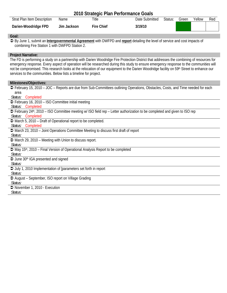| 2010 Strategic Plan Performance Goals |             |                   |                |         |       |        |     |
|---------------------------------------|-------------|-------------------|----------------|---------|-------|--------|-----|
| Strat Plan Item Description           | Name        | Title             | Date Submitted | Status: | Green | Yellow | Red |
| Darien-Woodridge FPD                  | Jim Jackson | <b>Fire Chief</b> | 3/19/10        |         |       |        |     |

Â By June 1, submit an **Intergovernmental Agreement** with DWFPD and **report** detailing the level of service and cost impacts of combining Fire Station 1 with DWFPD Station 2.

# **Project Narrative:**

The FD is performing a study on a partnership with Darien Woodridge Fire Protection District that addresses the combining of resources for emergency response. Every aspect of operation will be researched during this study to ensure emergency response to the communities will not be compromised. This research looks at the relocation of our equipment to the Darien Woodridge facility on 59th Street to enhance our services to the communities. Below lists a timeline for project.

| Milestones/Objectives:                                                                                                                  |
|-----------------------------------------------------------------------------------------------------------------------------------------|
| → February 15, 2010 – JOC – Reports are due from Sub-Committees outlining Operations, Obstacles, Costs, and Time needed for each        |
| area                                                                                                                                    |
| Completed<br><i>Status:</i>                                                                                                             |
| → February 16, 2010 – ISO Committee initial meeting                                                                                     |
| Status: Completed                                                                                                                       |
| → February 24 <sup>th</sup> , 2010 – ISO Committee meeting w/ ISO field rep – Letter authorization to be completed and given to ISO rep |
| Status: Completed                                                                                                                       |
| → March 5, 2010 – Draft of Operational report to be completed.                                                                          |
| Status: Completed                                                                                                                       |
| → March 23, 2010 – Joint Operations Committee Meeting to discuss first draft of report                                                  |
| Status:                                                                                                                                 |
| → March 29, 2010 – Meeting with Union to discuss report.                                                                                |
| Status:                                                                                                                                 |
| → May 15 <sup>th</sup> , 2010 – Final Version of Operational Analysis Report to be completed                                            |
| Status:                                                                                                                                 |
| → June 30 <sup>th</sup> IGA presented and signed                                                                                        |
| Status:                                                                                                                                 |
| → July 1, 2010 Implementation of [parameters set forth in report]                                                                       |
| Status:                                                                                                                                 |
| → August – September, ISO report on Village Grading                                                                                     |
| Status:                                                                                                                                 |
| → November 1, 2010 - Execution                                                                                                          |
| Status:                                                                                                                                 |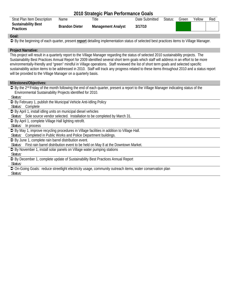# **2010 Strategic Plan Performance Goals**

| <b>Strat Plan Item Description</b>             | Name                  | Title                     | Date Submitted | Status: | Green | Yellow | Red |
|------------------------------------------------|-----------------------|---------------------------|----------------|---------|-------|--------|-----|
| <b>Sustainability Best</b><br><b>Practices</b> | <b>Brandon Dieter</b> | <b>Management Analyst</b> | 3/17/10        |         |       |        |     |

# **Goal:**

Â By the beginning of each quarter, present **report** detailing implementation status of selected best practices items to Village Manager.

# **Project Narrative:**

This project will result in a quarterly report to the Village Manager regarding the status of selected 2010 sustainability projects. The Sustainability Best Practices Annual Report for 2009 identified several short term goals which staff will address in an effort to be more environmentally-friendly and "green" mindful in Village operations. Staff reviewed the list of short term goals and selected specific sustainability action items to be addressed in 2010. Staff will track any progress related to these items throughout 2010 and a status report will be provided to the Village Manager on a quarterly basis.

# **Milestones/Objectives:**

**→** By the 2<sup>nd</sup> Friday of the month following the end of each quarter, present a report to the Village Manager indicating status of the Environmental Sustainability Projects identified for 2010.

*Status:* 

● By February 1, publish the Municipal Vehicle Anti-Idling Policy

*Status:* Complete

● By April 1, install idling units on municipal diesel vehicles

*Status:* Sole source vendor selected. Installation to be completed by March 31.

 $\supset$  By April 1, complete Village Hall lighting retrofit.

*Status:* In process

 $\supset$  By May 1, improve recycling procedures in Village facilities in addition to Village Hall.

*Status:* Completed in Public Works and Police Department buildings.

 $\supseteq$  By June 1, complete rain barrel distribution event.

*Status:* First rain barrel distribution event to be held on May 8 at the Downtown Market.

 $\supseteq$  By November 1, install solar panels on Village water pumping stations

*Status:* 

**↑** By December 1, complete update of Sustainability Best Practices Annual Report

*Status:* 

 $\supset$  On-Going Goals: reduce streetlight electricity usage, community outreach items, water conservation plan

*Status:*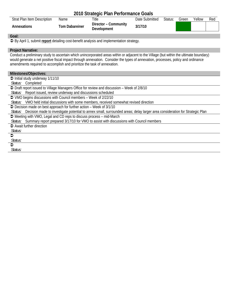|                                                                                                                                          |                       | 2010 Strategic Plan Performance Goals |                |         |       |        |     |
|------------------------------------------------------------------------------------------------------------------------------------------|-----------------------|---------------------------------------|----------------|---------|-------|--------|-----|
| Strat Plan Item Description                                                                                                              | Name                  | Title                                 | Date Submitted | Status: | Green | Yellow | Red |
| Annexations                                                                                                                              | <b>Tom Dabareiner</b> | Director - Community<br>Development   | 3/17/10        |         |       |        |     |
| Goal:                                                                                                                                    |                       |                                       |                |         |       |        |     |
| → By April 1, submit report detailing cost-benefit analysis and implementation strategy.                                                 |                       |                                       |                |         |       |        |     |
| <b>Project Narrative:</b>                                                                                                                |                       |                                       |                |         |       |        |     |
| Conduct a preliminary study to ascertain which unincorporated areas within or adjacent to the Village (but within the ultimate boundary) |                       |                                       |                |         |       |        |     |
| would generate a net positive fiscal impact through annexation. Consider the types of annexation, processes, policy and ordinance        |                       |                                       |                |         |       |        |     |
| amendments required to accomplish and prioritize the task of annexation.                                                                 |                       |                                       |                |         |       |        |     |
|                                                                                                                                          |                       |                                       |                |         |       |        |     |
| Milestones/Objectives:                                                                                                                   |                       |                                       |                |         |       |        |     |
| $\supset$ Initial study underway 1/11/10                                                                                                 |                       |                                       |                |         |       |        |     |
| Status: Completed                                                                                                                        |                       |                                       |                |         |       |        |     |
| → Draft report issued to Village Managers Office for review and discussion – Week of 2/8/10                                              |                       |                                       |                |         |       |        |     |
| Status: Report issued, review underway and discussions scheduled                                                                         |                       |                                       |                |         |       |        |     |
| → VMO begins discussions with Council members - Week of 2/22/10                                                                          |                       |                                       |                |         |       |        |     |
| Status: VMO held initial discussions with some members, received somewhat revised direction                                              |                       |                                       |                |         |       |        |     |
| → Decision made on best approach for further action – Week of 3/1/10                                                                     |                       |                                       |                |         |       |        |     |
| Status: Decision made to investigate potential to annex small, surrounded areas; delay larger area consideration for Strategic Plan      |                       |                                       |                |         |       |        |     |
| → Meeting with VMO, Legal and CD reps to discuss process – mid-March                                                                     |                       |                                       |                |         |       |        |     |
| Status: Summary report prepared 3/17/10 for VMO to assist with discussions with Council members                                          |                       |                                       |                |         |       |        |     |
| $\Rightarrow$ Await further direction                                                                                                    |                       |                                       |                |         |       |        |     |
| Status:                                                                                                                                  |                       |                                       |                |         |       |        |     |
| $\bullet$                                                                                                                                |                       |                                       |                |         |       |        |     |
| Status:                                                                                                                                  |                       |                                       |                |         |       |        |     |
| $\bullet$                                                                                                                                |                       |                                       |                |         |       |        |     |
| Status:                                                                                                                                  |                       |                                       |                |         |       |        |     |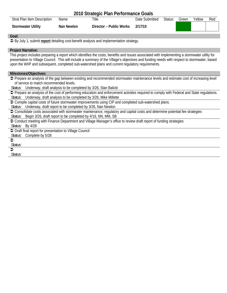|                                    |            | 2010 Strategic Plan Performance Goals |                |         |       |        |     |
|------------------------------------|------------|---------------------------------------|----------------|---------|-------|--------|-----|
| <b>Strat Plan Item Description</b> | Name       | Title                                 | Date Submitted | Status: | Green | Yellow | Red |
| <b>Stormwater Utility</b>          | Nan Newlon | Director - Public Works               | 2/17/10        |         |       |        |     |

Â By July 1, submit **report** detailing cost-benefit analysis and implementation strategy.

#### **Project Narrative:**

This project includes preparing a report which identifies the costs, benefits and issues associated with implementing a stormwater utility for presentation to Village Council. This will include a summary of the Village's objectives and funding needs with respect to stormwater, based upon the WIIP and subsequent, completed sub-watershed plans and current regulatory requirements.

#### **Milestones/Objectives:**

 $\supset$  Prepare an analysis of the gap between existing and recommended stormwater maintenance levels and estimate cost of increasing level of service to match recommended levels.

*Status:* Underway, draft analysis to be completed by 3/26, Stan Balicki

 $\supset$  Prepare an analysis of the cost of performing education and enforcement activities required to comply with Federal and State regulations.

*Status:* Underway, draft analysis to be completed by 3/26, Mike Millette

 $\supset$  Compile capital costs of future stormwater improvements using CIP and completed sub-watershed plans.

*Status:* Underway, draft report to be completed by 3/26, Nan Newlon

 $\supset$  Consolidate costs associated with stormwater maintenance, regulatory and capital costs and determine potential fee strategies *Status:* Begin 3/26, draft report to be completed by 4/16, NN, MM, SB

**◯** Conduct meeting with Finance Department and Village Manager's office to review draft report of funding strategies

*Status:* By 4/28

 $\supset$  Draft final report for presentation to Village Council

*Status:* Complete by 5/28

#### $\bullet$ *Status:*   $\bullet$

*Status:*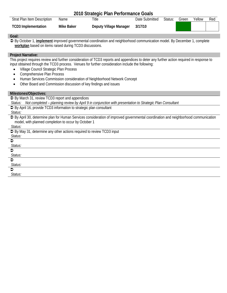| 2010 Strategic Plan Performance Goals |            |                        |                |         |       |        |     |
|---------------------------------------|------------|------------------------|----------------|---------|-------|--------|-----|
| Strat Plan Item Description           | Name       | Title                  | Date Submitted | Status: | Green | Yellow | Red |
| <b>TCD3</b> Implementation            | Mike Baker | Deputy Village Manager | 3/17/10        |         |       |        |     |

Â By October 1, **implement** improved governmental coordination and neighborhood communication model. By December 1, complete **workplan** based on items raised during TCD3 discussions.

#### **Project Narrative:**

This project requires review and further consideration of TCD3 reports and appendices to deter any further action required in response to input obtained through the TCD3 process. Venues for further consideration include the following:

- Village Council Strategic Plan Process
- Comprehensive Plan Process
- Human Services Commission consideration of Neighborhood Network Concept
- Other Board and Commission discussion of key findings and issues

#### **Milestones/Objectives:**

**↑ By March 31, review TCD3 report and appendices** 

*Status: Not completed – planning review by April 9 in conjunction with presentation to Strategic Plan Consultant* 

● By April 16, provide TCD3 information to strategic plan consultant

*Status:* 

Â By April 30, determine plan for Human Services consideration of improved governmental coordination and neighborhood communication model, with planned completion to occur by October 1

*Status:* 

| <u>o www.</u>                                                          |
|------------------------------------------------------------------------|
| → By May 31, determine any other actions required to review TCD3 input |
| Status:                                                                |
| €                                                                      |
| Status:                                                                |
| $\bullet$                                                              |
| Status:                                                                |
| €                                                                      |
| Status:                                                                |
| €                                                                      |
| Status:                                                                |
|                                                                        |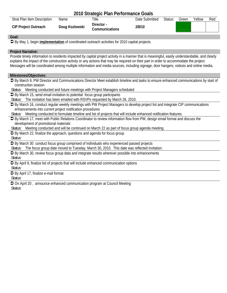|                                                                                                                                                                                                                                                                                                                                                                                                                                                                  |                | 2010 Strategic Plan Performance Goals                                   |                |         |       |        |     |
|------------------------------------------------------------------------------------------------------------------------------------------------------------------------------------------------------------------------------------------------------------------------------------------------------------------------------------------------------------------------------------------------------------------------------------------------------------------|----------------|-------------------------------------------------------------------------|----------------|---------|-------|--------|-----|
| <b>Strat Plan Item Description</b>                                                                                                                                                                                                                                                                                                                                                                                                                               | Name           | Title                                                                   | Date Submitted | Status: | Green | Yellow | Red |
| <b>CIP Project Outreach</b>                                                                                                                                                                                                                                                                                                                                                                                                                                      | Doug Kozlowski | Director -<br>Communications                                            | 2/8/10         |         |       |        |     |
| Goal:                                                                                                                                                                                                                                                                                                                                                                                                                                                            |                |                                                                         |                |         |       |        |     |
| → By May 1, begin <i>implementation</i> of coordinated outreach activities for 2010 capital projects.                                                                                                                                                                                                                                                                                                                                                            |                |                                                                         |                |         |       |        |     |
| <b>Project Narrative:</b><br>Provide timely information to residents impacted by capital project activity in a manner that is meaningful, easily understandable, and clearly<br>explains the impact of the construction activity or any actions that may be required on their part in order to accommodate the project.<br>Messages will be coordinated among multiple information and media sources, including signage, door hangers, notices and online media. |                |                                                                         |                |         |       |        |     |
| Milestones/Objectives:                                                                                                                                                                                                                                                                                                                                                                                                                                           |                |                                                                         |                |         |       |        |     |
| → By March 9, PW Director and Communications Director Meet establish timeline and tasks to ensure enhanced communications by start of<br>construction season<br>Status: Meeting conducted and future meetings with Project Managers scheduled                                                                                                                                                                                                                    |                |                                                                         |                |         |       |        |     |
| Supersional By March 15, send email invitation to potential focus group participants                                                                                                                                                                                                                                                                                                                                                                             |                |                                                                         |                |         |       |        |     |
| Status:                                                                                                                                                                                                                                                                                                                                                                                                                                                          |                | The invitation has been emailed with RSVPs requested by March 26, 2010. |                |         |       |        |     |
| → By March 16, conduct regular weekly meetings with PW Project Managers to develop project list and integrate CIP communications<br>enhancements into current project notification procedures                                                                                                                                                                                                                                                                    |                |                                                                         |                |         |       |        |     |
| Status: Meeting conducted to formulate timeline and list of projects that will include enhanced notification features.                                                                                                                                                                                                                                                                                                                                           |                |                                                                         |                |         |       |        |     |
| S By March 17, meet with Public Relations Coordinator to review information flow from PW, design email format and discuss the                                                                                                                                                                                                                                                                                                                                    |                |                                                                         |                |         |       |        |     |
| development of promotional materials                                                                                                                                                                                                                                                                                                                                                                                                                             |                |                                                                         |                |         |       |        |     |
| Status: Meeting conducted and will be continued on March 22 as part of focus group agenda meeting                                                                                                                                                                                                                                                                                                                                                                |                |                                                                         |                |         |       |        |     |
| → By March 22, finalize the approach, questions and agenda for focus group<br>Status:                                                                                                                                                                                                                                                                                                                                                                            |                |                                                                         |                |         |       |        |     |
| → By March 30 conduct focus group comprised of individuals who experienced passed projects                                                                                                                                                                                                                                                                                                                                                                       |                |                                                                         |                |         |       |        |     |
| Status: The focus group date moved to Tuesday, March 30, 2010. This date was reflected invitation.                                                                                                                                                                                                                                                                                                                                                               |                |                                                                         |                |         |       |        |     |
| → By March 30, review focus group data and integrate results wherever possible into enhancements<br>Status:                                                                                                                                                                                                                                                                                                                                                      |                |                                                                         |                |         |       |        |     |
| → By April 9, finalize list of projects that will include enhanced communication options                                                                                                                                                                                                                                                                                                                                                                         |                |                                                                         |                |         |       |        |     |
| Status:                                                                                                                                                                                                                                                                                                                                                                                                                                                          |                |                                                                         |                |         |       |        |     |

 $\supseteq$  By April 17, finalize e-mail format

*Status:*

 $\supset$  On April 20, announce enhanced communication program at Council Meeting *Status:*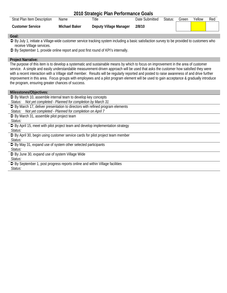| 2010 Strategic Plan Performance Goals |               |                        |                |         |       |        |     |  |
|---------------------------------------|---------------|------------------------|----------------|---------|-------|--------|-----|--|
| Strat Plan Item Description           | Name          | Title                  | Date Submitted | Status: | Green | Yellow | Red |  |
| Customer Service                      | Michael Baker | Deputy Village Manager | 2/8/10         |         |       |        |     |  |

Â By July 1, initiate a Village-wide customer service tracking system including a basic satisfaction survey to be provided to customers who receive Village services.

Â By September 1, provide online report and post first round of KPI's internally.

# **Project Narrative:**

The purpose of this item is to develop a systematic and sustainable means by which to focus on improvement in the area of customer service. A simple and easily understandable measurement-driven approach will be used that asks the customer how satisfied they were with a recent interaction with a Village staff member. Results will be regularly reported and posted to raise awareness of and drive further improvement in this area. Focus groups with employees and a pilot program element will be used to gain acceptance & gradually introduce the program, ensuring greater chances of success.

#### **Milesstones/Objectives:**

**■** By March 10, assemble internal team to develop key concepts *Status: Not yet completed - Planned for completion by March 31*  **◯** By March 17, deliver presentation to directors with refined program elements *Status: Not yet completed - Planned for completion on April 7*  **■** By March 31, assemble pilot project team *Status:*   $\supset$  By April 15, meet with pilot project team and develop implementation strategy *Status:*   $\supset$  By April 30, begin using customer service cards for pilot project team member *Status:*  **■** By May 31, expand use of system other selected participants *Status:*  **→** By June 30, expand use of system Village Wide *Status:*   $\supset$  By September 1, post progress reports online and within Village facilities *Status:*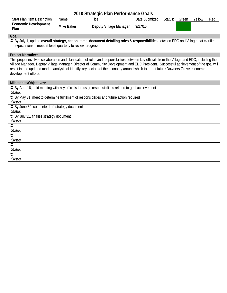| 2010 Strategic Plan Performance Goals |            |                        |                |         |       |        |     |  |
|---------------------------------------|------------|------------------------|----------------|---------|-------|--------|-----|--|
| <b>Strat Plan Item Description</b>    | Name       | Title                  | Date Submitted | Status: | Green | Yellow | Red |  |
| <b>Economic Development</b><br>Plan   | Mike Baker | Deputy Village Manager | 3/17/10        |         |       |        |     |  |

Â By July 1, update **overall strategy, action items, document detailing roles & responsibilities** between EDC and Village that clarifies expectations – meet at least quarterly to review progress.

# **Project Narrative:**

This project involves collaboration and clarification of roles and responsibilities between key officials from the Village and EDC, including the Village Manager, Deputy Village Manager, Director of Community Development and EDC President. Successful achievement of the goal will result in and updated market analysis of identify key sectors of the economy around which to target future Downers Grove economic development efforts.

| Milestones/Objectives:                                                                                        |
|---------------------------------------------------------------------------------------------------------------|
| $\supset$ By April 16, hold meeting with key officials to assign responsibilities related to goal achievement |
| Status:                                                                                                       |
| $\supset$ By May 31, meet to determine fulfillment of responsibilities and future action required             |
| Status:                                                                                                       |
| $\supset$ By June 30, complete draft strategy document                                                        |
| Status:                                                                                                       |
| → By July 31, finalize strategy document                                                                      |
| Status:                                                                                                       |
| ≏                                                                                                             |
| Status:                                                                                                       |
| ≏                                                                                                             |
| Status:                                                                                                       |
| ≏                                                                                                             |
| Status:                                                                                                       |
| €                                                                                                             |
| Status:                                                                                                       |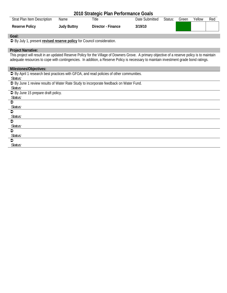| 2010 Strategic Plan Performance Goals                                                                                                          |                    |                    |                |         |       |        |     |  |
|------------------------------------------------------------------------------------------------------------------------------------------------|--------------------|--------------------|----------------|---------|-------|--------|-----|--|
| Strat Plan Item Description                                                                                                                    | Name               | Title              | Date Submitted | Status: | Green | Yellow | Red |  |
| <b>Reserve Policy</b>                                                                                                                          | <b>Judy Buttny</b> | Director - Finance | 3/19/10        |         |       |        |     |  |
| Goal:                                                                                                                                          |                    |                    |                |         |       |        |     |  |
| → By July 1, present revised reserve policy for Council consideration.                                                                         |                    |                    |                |         |       |        |     |  |
| <b>Project Narrative:</b>                                                                                                                      |                    |                    |                |         |       |        |     |  |
| This project will result in an updated Reserve Policy for the Village of Downers Grove. A primary objective of a reserve policy is to maintain |                    |                    |                |         |       |        |     |  |
| adequate resources to cope with contingencies. In addition, a Reserve Policy is necessary to maintain investment grade bond ratings.           |                    |                    |                |         |       |        |     |  |
| Milestones/Objectives:                                                                                                                         |                    |                    |                |         |       |        |     |  |
| → By April 1 research best practices with GFOA, and read policies of other communities.                                                        |                    |                    |                |         |       |        |     |  |
| Status:                                                                                                                                        |                    |                    |                |         |       |        |     |  |
| → By June 1 review results of Water Rate Study to incorporate feedback on Water Fund.                                                          |                    |                    |                |         |       |        |     |  |
| Status:                                                                                                                                        |                    |                    |                |         |       |        |     |  |
| $\supset$ By June 15 prepare draft policy.                                                                                                     |                    |                    |                |         |       |        |     |  |
| Status:                                                                                                                                        |                    |                    |                |         |       |        |     |  |
| $\bullet$                                                                                                                                      |                    |                    |                |         |       |        |     |  |
| Status:                                                                                                                                        |                    |                    |                |         |       |        |     |  |
| $\bullet$                                                                                                                                      |                    |                    |                |         |       |        |     |  |
| Status:                                                                                                                                        |                    |                    |                |         |       |        |     |  |
| $\bullet$                                                                                                                                      |                    |                    |                |         |       |        |     |  |
| Status:                                                                                                                                        |                    |                    |                |         |       |        |     |  |
| Status:                                                                                                                                        |                    |                    |                |         |       |        |     |  |
| ≏                                                                                                                                              |                    |                    |                |         |       |        |     |  |
| Status:                                                                                                                                        |                    |                    |                |         |       |        |     |  |